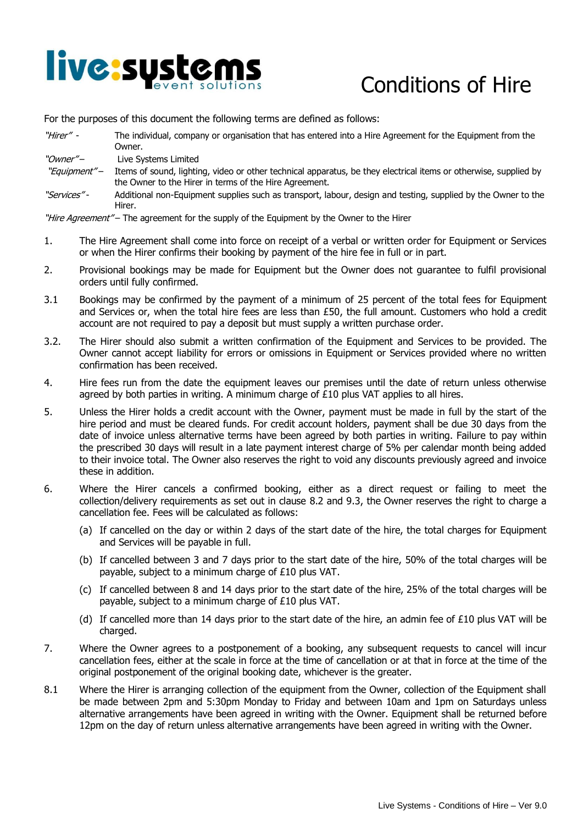

## Conditions of Hire

For the purposes of this document the following terms are defined as follows:

| "Hirer" - | The individual, company or organisation that has entered into a Hire Agreement for the Equipment from the<br>Jwner. |
|-----------|---------------------------------------------------------------------------------------------------------------------|
| "Owner″–  | Live Systems Limited                                                                                                |

- "Equipment" Items of sound, lighting, video or other technical apparatus, be they electrical items or otherwise, supplied by the Owner to the Hirer in terms of the Hire Agreement.
- "Services" Additional non-Equipment supplies such as transport, labour, design and testing, supplied by the Owner to the Hirer.

"Hire Agreement" – The agreement for the supply of the Equipment by the Owner to the Hirer

- 1. The Hire Agreement shall come into force on receipt of a verbal or written order for Equipment or Services or when the Hirer confirms their booking by payment of the hire fee in full or in part.
- 2. Provisional bookings may be made for Equipment but the Owner does not guarantee to fulfil provisional orders until fully confirmed.
- 3.1 Bookings may be confirmed by the payment of a minimum of 25 percent of the total fees for Equipment and Services or, when the total hire fees are less than £50, the full amount. Customers who hold a credit account are not required to pay a deposit but must supply a written purchase order.
- 3.2. The Hirer should also submit a written confirmation of the Equipment and Services to be provided. The Owner cannot accept liability for errors or omissions in Equipment or Services provided where no written confirmation has been received.
- 4. Hire fees run from the date the equipment leaves our premises until the date of return unless otherwise agreed by both parties in writing. A minimum charge of £10 plus VAT applies to all hires.
- 5. Unless the Hirer holds a credit account with the Owner, payment must be made in full by the start of the hire period and must be cleared funds. For credit account holders, payment shall be due 30 days from the date of invoice unless alternative terms have been agreed by both parties in writing. Failure to pay within the prescribed 30 days will result in a late payment interest charge of 5% per calendar month being added to their invoice total. The Owner also reserves the right to void any discounts previously agreed and invoice these in addition.
- 6. Where the Hirer cancels a confirmed booking, either as a direct request or failing to meet the collection/delivery requirements as set out in clause 8.2 and 9.3, the Owner reserves the right to charge a cancellation fee. Fees will be calculated as follows:
	- (a) If cancelled on the day or within 2 days of the start date of the hire, the total charges for Equipment and Services will be payable in full.
	- (b) If cancelled between 3 and 7 days prior to the start date of the hire, 50% of the total charges will be payable, subject to a minimum charge of £10 plus VAT.
	- (c) If cancelled between 8 and 14 days prior to the start date of the hire, 25% of the total charges will be payable, subject to a minimum charge of £10 plus VAT.
	- (d) If cancelled more than 14 days prior to the start date of the hire, an admin fee of £10 plus VAT will be charged.
- 7. Where the Owner agrees to a postponement of a booking, any subsequent requests to cancel will incur cancellation fees, either at the scale in force at the time of cancellation or at that in force at the time of the original postponement of the original booking date, whichever is the greater.
- 8.1 Where the Hirer is arranging collection of the equipment from the Owner, collection of the Equipment shall be made between 2pm and 5:30pm Monday to Friday and between 10am and 1pm on Saturdays unless alternative arrangements have been agreed in writing with the Owner. Equipment shall be returned before 12pm on the day of return unless alternative arrangements have been agreed in writing with the Owner.